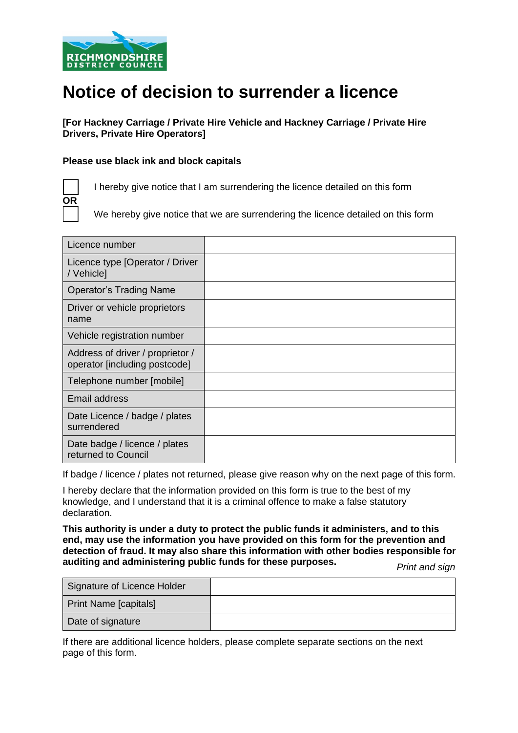

## **Notice of decision to surrender a licence**

 **[For Hackney Carriage / Private Hire Vehicle and Hackney Carriage / Private Hire Drivers, Private Hire Operators]** 

## **Please use black ink and block capitals**

I hereby give notice that I am surrendering the licence detailed on this form

We hereby give notice that we are surrendering the licence detailed on this form

| Licence number                                                    |  |
|-------------------------------------------------------------------|--|
| Licence type [Operator / Driver<br>/ Vehicle]                     |  |
| <b>Operator's Trading Name</b>                                    |  |
| Driver or vehicle proprietors<br>name                             |  |
| Vehicle registration number                                       |  |
| Address of driver / proprietor /<br>operator [including postcode] |  |
| Telephone number [mobile]                                         |  |
| <b>Email address</b>                                              |  |
| Date Licence / badge / plates<br>surrendered                      |  |
| Date badge / licence / plates<br>returned to Council              |  |

If badge / licence / plates not returned, please give reason why on the next page of this form.

 I hereby declare that the information provided on this form is true to the best of my knowledge, and I understand that it is a criminal offence to make a false statutory declaration.

 **This authority is under a duty to protect the public funds it administers, and to this end, may use the information you have provided on this form for the prevention and detection of fraud. It may also share this information with other bodies responsible for auditing and administering public funds for these purposes.** *Print and sign* 

| Signature of Licence Holder  |  |
|------------------------------|--|
| <b>Print Name [capitals]</b> |  |
| Date of signature            |  |

 If there are additional licence holders, please complete separate sections on the next page of this form.